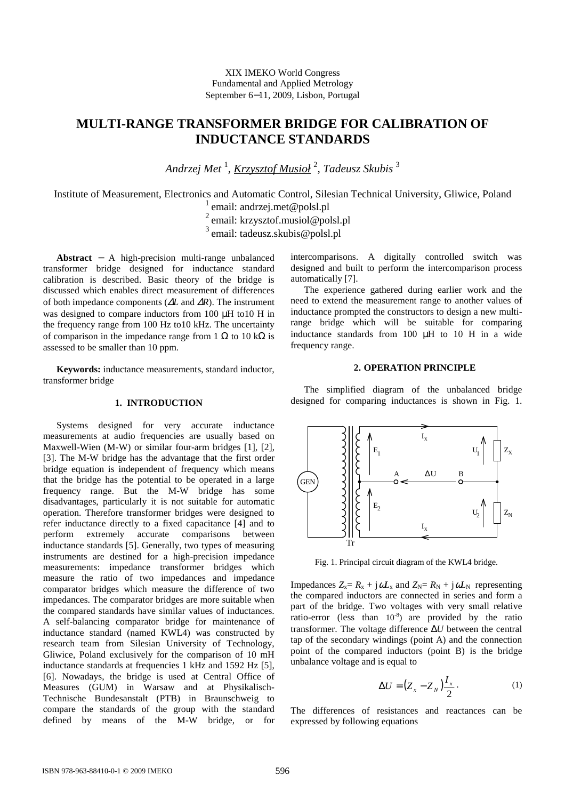# XIX IMEKO World Congress Fundamental and Applied Metrology September 6−11, 2009, Lisbon, Portugal

# **MULTI-RANGE TRANSFORMER BRIDGE FOR CALIBRATION OF INDUCTANCE STANDARDS**

*Andrzej Met* <sup>1</sup> *, Krzysztof Musioł* <sup>2</sup> *, Tadeusz Skubis* <sup>3</sup>

Institute of Measurement, Electronics and Automatic Control, Silesian Technical University, Gliwice, Poland  $\frac{1}{1}$  email: andrzej.met@polsl.pl

<sup>2</sup> email: krzysztof.musiol@polsl.pl

<sup>3</sup>email: tadeusz.skubis@polsl.pl

**Abstract** − A high-precision multi-range unbalanced transformer bridge designed for inductance standard calibration is described. Basic theory of the bridge is discussed which enables direct measurement of differences of both impedance components (∆*L* and ∆*R*). The instrument was designed to compare inductors from 100 µH to10 H in the frequency range from 100 Hz to10 kHz. The uncertainty of comparison in the impedance range from 1  $\Omega$  to 10 k $\Omega$  is assessed to be smaller than 10 ppm.

**Keywords:** inductance measurements, standard inductor, transformer bridge

# **1. INTRODUCTION**

Systems designed for very accurate inductance measurements at audio frequencies are usually based on Maxwell-Wien (M-W) or similar four-arm bridges [1], [2], [3]. The M-W bridge has the advantage that the first order bridge equation is independent of frequency which means that the bridge has the potential to be operated in a large frequency range. But the M-W bridge has some disadvantages, particularly it is not suitable for automatic operation. Therefore transformer bridges were designed to refer inductance directly to a fixed capacitance [4] and to perform extremely accurate comparisons between inductance standards [5]. Generally, two types of measuring instruments are destined for a high-precision impedance measurements: impedance transformer bridges which measure the ratio of two impedances and impedance comparator bridges which measure the difference of two impedances. The comparator bridges are more suitable when the compared standards have similar values of inductances. A self-balancing comparator bridge for maintenance of inductance standard (named KWL4) was constructed by research team from Silesian University of Technology, Gliwice, Poland exclusively for the comparison of 10 mH inductance standards at frequencies 1 kHz and 1592 Hz [5], [6]. Nowadays, the bridge is used at Central Office of Measures (GUM) in Warsaw and at Physikalisch-Technische Bundesanstalt (PTB) in Braunschweig to compare the standards of the group with the standard defined by means of the M-W bridge, or for intercomparisons. A digitally controlled switch was designed and built to perform the intercomparison process automatically [7].

The experience gathered during earlier work and the need to extend the measurement range to another values of inductance prompted the constructors to design a new multirange bridge which will be suitable for comparing inductance standards from 100 µH to 10 H in a wide frequency range.

## **2. OPERATION PRINCIPLE**

 The simplified diagram of the unbalanced bridge designed for comparing inductances is shown in Fig. 1.



Fig. 1. Principal circuit diagram of the KWL4 bridge.

Impedances  $Z_x = R_x + j\omega L_x$  and  $Z_N = R_N + j\omega L_N$  representing the compared inductors are connected in series and form a part of the bridge. Two voltages with very small relative ratio-error (less than  $10^{-8}$ ) are provided by the ratio transformer. The voltage difference ∆*U* between the central tap of the secondary windings (point A) and the connection point of the compared inductors (point B) is the bridge unbalance voltage and is equal to

$$
\Delta U = \left(Z_x - Z_N\right) \frac{I_x}{2} \,. \tag{1}
$$

The differences of resistances and reactances can be expressed by following equations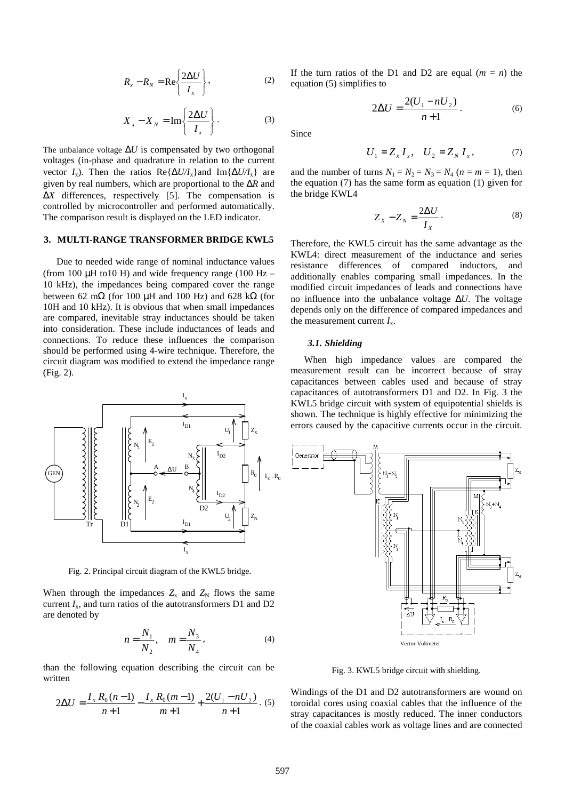$$
R_x - R_N = \text{Re}\left\{\frac{2\Delta U}{I_x}\right\},\tag{2}
$$

$$
X_x - X_N = \operatorname{Im} \left\{ \frac{2\Delta U}{I_x} \right\}.
$$
 (3)

The unbalance voltage  $\Delta U$  is compensated by two orthogonal voltages (in-phase and quadrature in relation to the current vector *I<sub>x</sub>*). Then the ratios Re{ $\Delta U/I_x$ }and Im{ $\Delta U/I_x$ } are given by real numbers, which are proportional to the ∆*R* and ∆*X* differences, respectively [5]. The compensation is controlled by microcontroller and performed automatically. The comparison result is displayed on the LED indicator.

#### **3. MULTI-RANGE TRANSFORMER BRIDGE KWL5**

Due to needed wide range of nominal inductance values (from 100  $\mu$ H to10 H) and wide frequency range (100 Hz – 10 kHz), the impedances being compared cover the range between 62 m $\Omega$  (for 100 µH and 100 Hz) and 628 k $\Omega$  (for 10H and 10 kHz). It is obvious that when small impedances are compared, inevitable stray inductances should be taken into consideration. These include inductances of leads and connections. To reduce these influences the comparison should be performed using 4-wire technique. Therefore, the circuit diagram was modified to extend the impedance range (Fig. 2).



Fig. 2. Principal circuit diagram of the KWL5 bridge.

When through the impedances  $Z_x$  and  $Z_N$  flows the same current  $I_x$ , and turn ratios of the autotransformers D1 and D2 are denoted by

$$
n = \frac{N_1}{N_2}, \quad m = \frac{N_3}{N_4}, \tag{4}
$$

than the following equation describing the circuit can be written

$$
2\Delta U = \frac{I_x R_0 (n-1)}{n+1} - \frac{I_x R_0 (m-1)}{m+1} + \frac{2(U_1 - nU_2)}{n+1}.
$$
 (5)

If the turn ratios of the D1 and D2 are equal  $(m = n)$  the equation (5) simplifies to

$$
2\Delta U = \frac{2(U_1 - nU_2)}{n+1}.
$$
 (6)

Since

$$
U_1 = Z_x I_x, \quad U_2 = Z_N I_x, \tag{7}
$$

and the number of turns  $N_1 = N_2 = N_3 = N_4$  ( $n = m = 1$ ), then the equation (7) has the same form as equation (1) given for the bridge KWL4

$$
Z_X - Z_N = \frac{2\Delta U}{I_X}.
$$
 (8)

Therefore, the KWL5 circuit has the same advantage as the KWL4: direct measurement of the inductance and series resistance differences of compared inductors, and additionally enables comparing small impedances. In the modified circuit impedances of leads and connections have no influence into the unbalance voltage ∆*U*. The voltage depends only on the difference of compared impedances and the measurement current  $I_x$ .

#### *3.1. Shielding*

 When high impedance values are compared the measurement result can be incorrect because of stray capacitances between cables used and because of stray capacitances of autotransformers D1 and D2. In Fig. 3 the KWL5 bridge circuit with system of equipotential shields is shown. The technique is highly effective for minimizing the errors caused by the capacitive currents occur in the circuit.



Fig. 3. KWL5 bridge circuit with shielding.

Windings of the D1 and D2 autotransformers are wound on toroidal cores using coaxial cables that the influence of the stray capacitances is mostly reduced. The inner conductors of the coaxial cables work as voltage lines and are connected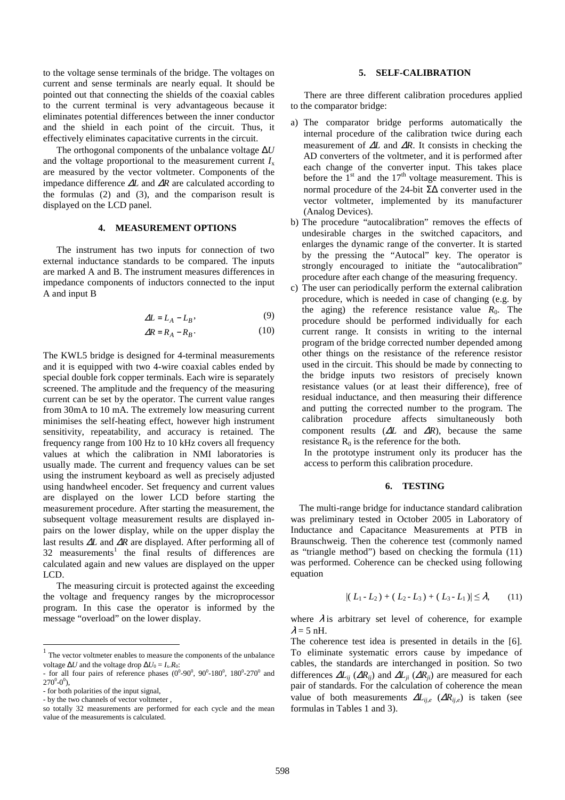to the voltage sense terminals of the bridge. The voltages on current and sense terminals are nearly equal. It should be pointed out that connecting the shields of the coaxial cables to the current terminal is very advantageous because it eliminates potential differences between the inner conductor and the shield in each point of the circuit. Thus, it effectively eliminates capacitative currents in the circuit.

 The orthogonal components of the unbalance voltage ∆*U* and the voltage proportional to the measurement current  $I_x$ are measured by the vector voltmeter. Components of the impedance difference ∆*L* and ∆*R* are calculated according to the formulas (2) and (3), and the comparison result is displayed on the LCD panel.

# **4. MEASUREMENT OPTIONS**

 The instrument has two inputs for connection of two external inductance standards to be compared. The inputs are marked A and B. The instrument measures differences in impedance components of inductors connected to the input A and input B

$$
\Delta L = L_A - L_B,\tag{9}
$$

$$
\Delta R = R_A - R_B. \tag{10}
$$

The KWL5 bridge is designed for 4-terminal measurements and it is equipped with two 4-wire coaxial cables ended by special double fork copper terminals. Each wire is separately screened. The amplitude and the frequency of the measuring current can be set by the operator. The current value ranges from 30mA to 10 mA. The extremely low measuring current minimises the self-heating effect, however high instrument sensitivity, repeatability, and accuracy is retained. The frequency range from 100 Hz to 10 kHz covers all frequency values at which the calibration in NMI laboratories is usually made. The current and frequency values can be set using the instrument keyboard as well as precisely adjusted using handwheel encoder. Set frequency and current values are displayed on the lower LCD before starting the measurement procedure. After starting the measurement, the subsequent voltage measurement results are displayed inpairs on the lower display, while on the upper display the last results ∆*L* and ∆*R* are displayed. After performing all of  $32$  measurements<sup>1</sup> the final results of differences are calculated again and new values are displayed on the upper LCD.

 The measuring circuit is protected against the exceeding the voltage and frequency ranges by the microprocessor program. In this case the operator is informed by the message "overload" on the lower display.

-

#### **5. SELF-CALIBRATION**

 There are three different calibration procedures applied to the comparator bridge:

- a) The comparator bridge performs automatically the internal procedure of the calibration twice during each measurement of ∆*L* and ∆*R*. It consists in checking the AD converters of the voltmeter, and it is performed after each change of the converter input. This takes place before the  $1<sup>st</sup>$  and the  $17<sup>th</sup>$  voltage measurement. This is normal procedure of the 24-bit Σ∆ converter used in the vector voltmeter, implemented by its manufacturer (Analog Devices).
- b) The procedure "autocalibration" removes the effects of undesirable charges in the switched capacitors, and enlarges the dynamic range of the converter. It is started by the pressing the "Autocal" key. The operator is strongly encouraged to initiate the "autocalibration" procedure after each change of the measuring frequency.
- c) The user can periodically perform the external calibration procedure, which is needed in case of changing (e.g. by the aging) the reference resistance value  $R_0$ . The procedure should be performed individually for each current range. It consists in writing to the internal program of the bridge corrected number depended among other things on the resistance of the reference resistor used in the circuit. This should be made by connecting to the bridge inputs two resistors of precisely known resistance values (or at least their difference), free of residual inductance, and then measuring their difference and putting the corrected number to the program. The calibration procedure affects simultaneously both component results (∆*L* and ∆*R*), because the same resistance  $R_0$  is the reference for the both.

 In the prototype instrument only its producer has the access to perform this calibration procedure.

### **6. TESTING**

The multi-range bridge for inductance standard calibration was preliminary tested in October 2005 in Laboratory of Inductance and Capacitance Measurements at PTB in Braunschweig. Then the coherence test (commonly named as "triangle method") based on checking the formula (11) was performed. Coherence can be checked using following equation

$$
|(L_1 - L_2) + (L_2 - L_3) + (L_3 - L_1)| \leq \lambda, \qquad (11)
$$

where  $\lambda$  is arbitrary set level of coherence, for example  $\lambda = 5$  nH.

The coherence test idea is presented in details in the [6]. To eliminate systematic errors cause by impedance of cables, the standards are interchanged in position. So two differences  $\Delta L_{ij}$  ( $\Delta R_{ij}$ ) and  $\Delta L_{ji}$  ( $\Delta R_{ji}$ ) are measured for each pair of standards. For the calculation of coherence the mean value of both measurements  $\Delta L_{ij,e}$  ( $\Delta R_{ij,e}$ ) is taken (see formulas in Tables 1 and 3).

<sup>&</sup>lt;sup>1</sup> The vector voltmeter enables to measure the components of the unbalance voltage  $\Delta U$  and the voltage drop  $\Delta U_0 = I_x.R_0$ :

<sup>-</sup> for all four pairs of reference phases  $(0^0-90^0, 90^0-180^0, 180^0-270^0, 90^0)$  $270^0 - 0^0$ ),

<sup>-</sup> for both polarities of the input signal,

<sup>-</sup> by the two channels of vector voltmeter ,

so totally 32 measurements are performed for each cycle and the mean value of the measurements is calculated.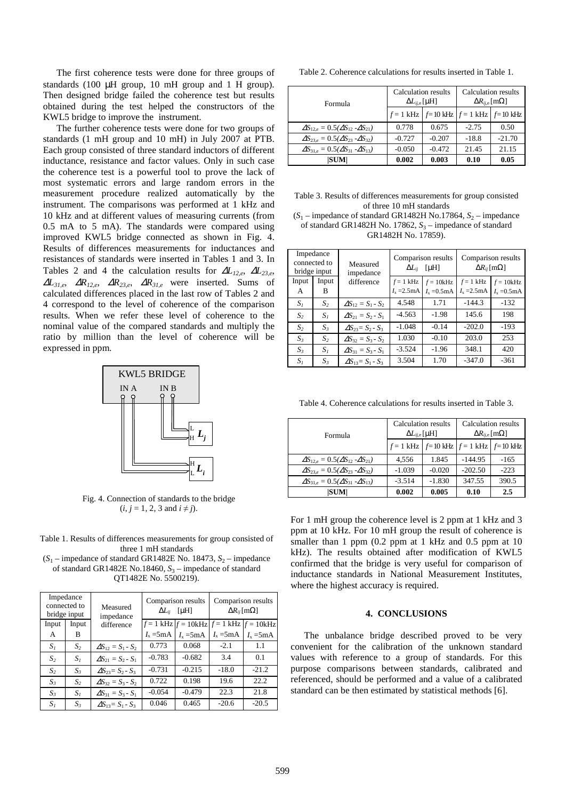The first coherence tests were done for three groups of standards (100  $\mu$ H group, 10 mH group and 1 H group). Then designed bridge failed the coherence test but results obtained during the test helped the constructors of the KWL5 bridge to improve the instrument.

The further coherence tests were done for two groups of standards (1 mH group and 10 mH) in July 2007 at PTB. Each group consisted of three standard inductors of different inductance, resistance and factor values. Only in such case the coherence test is a powerful tool to prove the lack of most systematic errors and large random errors in the measurement procedure realized automatically by the instrument. The comparisons was performed at 1 kHz and 10 kHz and at different values of measuring currents (from 0.5 mA to 5 mA). The standards were compared using improved KWL5 bridge connected as shown in Fig. 4. Results of differences measurements for inductances and resistances of standards were inserted in Tables 1 and 3. In Tables 2 and 4 the calculation results for ∆*L12,e*, ∆*L23,e*, <sup>∆</sup>*L31,e*, ∆*R12,e*, ∆*R23,e*, <sup>∆</sup>*R31,e* were inserted. Sums of calculated differences placed in the last row of Tables 2 and 4 correspond to the level of coherence of the comparison results. When we refer these level of coherence to the nominal value of the compared standards and multiply the ratio by million than the level of coherence will be expressed in ppm.



Fig. 4. Connection of standards to the bridge  $(i, j = 1, 2, 3 \text{ and } i \neq j).$ 

Table 1. Results of differences measurements for group consisted of three 1 mH standards

 $(S_1$  – impedance of standard GR1482E No. 18473,  $S_2$  – impedance of standard GR1482E No.18460, S<sub>3</sub> – impedance of standard QT1482E No. 5500219).

| Impedance<br>connected to<br>bridge input |                | Measured<br>impedance       | Comparison results<br>$\Delta L_{ii}$ [µH] |                                                      | Comparison results<br>$\Delta R_{ii}$ [m $\Omega$ ] |                                         |
|-------------------------------------------|----------------|-----------------------------|--------------------------------------------|------------------------------------------------------|-----------------------------------------------------|-----------------------------------------|
| Input                                     | Input          | difference                  |                                            | $f = 1$ kHz $ f = 10$ kHz $ f = 1$ kHz $ f = 10$ kHz |                                                     |                                         |
| A                                         | B              |                             | $I_{x}$ =5mA                               | $I_{x}$ =5 mA                                        |                                                     | $I_x = 5 \text{mA}$ $I_x = 5 \text{mA}$ |
| S <sub>i</sub>                            | S <sub>2</sub> | $\Delta S_{12} = S_1 - S_2$ | 0.773                                      | 0.068                                                | $-2.1$                                              | 1.1                                     |
| S <sub>2</sub>                            | $S_I$          | $\Delta S_{21} = S_2 - S_1$ | $-0.783$                                   | $-0.682$                                             | 3.4                                                 | 0.1                                     |
| S <sub>2</sub>                            | $S_3$          | $\Delta S_{23} = S_2 - S_3$ | $-0.731$                                   | $-0.215$                                             | $-18.0$                                             | $-21.2$                                 |
| $S_{3}$                                   | S <sub>2</sub> | $\Delta S_{32} = S_3 - S_2$ | 0.722                                      | 0.198                                                | 19.6                                                | 22.2.                                   |
| S <sub>3</sub>                            | $S_I$          | $\Delta S_{31} = S_3 - S_1$ | $-0.054$                                   | $-0.479$                                             | 22.3                                                | 21.8                                    |
| $S_I$                                     | $S_3$          | $\Delta S_{13} = S_1 - S_3$ | 0.046                                      | 0.465                                                | $-20.6$                                             | $-20.5$                                 |

Table 2. Coherence calculations for results inserted in Table 1.

| Formula                                               | Calculation results<br>$\Delta L_{ii,e}$ [µH]     |          | Calculation results<br>$\Delta R_{ii,e}$ [m $\Omega$ ] |          |
|-------------------------------------------------------|---------------------------------------------------|----------|--------------------------------------------------------|----------|
|                                                       | $f = 1$ kHz $f = 10$ kHz $f = 1$ kHz $f = 10$ kHz |          |                                                        |          |
| $\Delta S_{12e} = 0.5(\Delta S_{12} - \Delta S_{21})$ | 0.778                                             | 0.675    | $-2.75$                                                | 0.50     |
| $\Delta S_{23e} = 0.5(\Delta S_{23} - \Delta S_{32})$ | $-0.727$                                          | $-0.207$ | $-18.8$                                                | $-21.70$ |
| $\Delta S_{31e} = 0.5(\Delta S_{31} - \Delta S_{13})$ | $-0.050$                                          | $-0.472$ | 21.45                                                  | 21.15    |
| <b>SUM</b>                                            | 0.002                                             | 0.003    | 0.10                                                   | 0.05     |

Table 3. Results of differences measurements for group consisted of three 10 mH standards  $(S_1$  – impedance of standard GR1482H No.17864,  $S_2$  – impedance of standard GR1482H No. 17862, S<sub>3</sub> – impedance of standard

GR1482H No. 17859).

| Impedance<br>connected to<br>bridge input |                | Measured<br>impedance       | Comparison results<br>[ $\mu$ H]<br>$\Delta L_{ii}$ |                      | Comparison results<br>$\Delta R_{ii}$ [m $\Omega$ ] |                             |
|-------------------------------------------|----------------|-----------------------------|-----------------------------------------------------|----------------------|-----------------------------------------------------|-----------------------------|
| Input                                     | Input          | difference                  | $f = 1$ kHz                                         | $f = 10$ kHz         | $f = 1$ kHz                                         | $f = 10kHz$                 |
| А                                         | В              |                             | $I_{\rm x} = 2.5 \text{mA}$                         | $I_{\rm x} = 0.5$ mA | $I_{\rm x}$ = 2.5 mA                                | $I_{\rm x} = 0.5 \text{mA}$ |
| $S_I$                                     | S <sub>2</sub> | $\Delta S_{12} = S_1 - S_2$ | 4.548                                               | 1.71                 | $-144.3$                                            | $-132$                      |
| S <sub>2</sub>                            | $S_I$          | $\Delta S_{21} = S_2 - S_1$ | $-4.563$                                            | $-1.98$              | 145.6                                               | 198                         |
| S <sub>2</sub>                            | $S_3$          | $\Delta S_{23} = S_2 - S_3$ | $-1.048$                                            | $-0.14$              | $-202.0$                                            | $-193$                      |
| $S_{3}$                                   | $S_2$          | $\Delta S_{32} = S_3 - S_2$ | 1.030                                               | $-0.10$              | 203.0                                               | 253                         |
| $S_{3}$                                   | S <sub>t</sub> | $\Delta S_{31} = S_3 - S_1$ | $-3.524$                                            | $-1.96$              | 348.1                                               | 420                         |
| $S_I$                                     | $S_3$          | $\Delta S_{13} = S_1 - S_3$ | 3.504                                               | 1.70                 | $-347.0$                                            | $-361$                      |

Table 4. Coherence calculations for results inserted in Table 3.

| Formula                                                | Calculation results<br>$\Delta L_{ii,e}$ [µH] |                                                   | Calculation results<br>$\Delta R_{ii,e}$ [m $\Omega$ ] |        |
|--------------------------------------------------------|-----------------------------------------------|---------------------------------------------------|--------------------------------------------------------|--------|
|                                                        |                                               | $f = 1$ kHz $f = 10$ kHz $f = 1$ kHz $f = 10$ kHz |                                                        |        |
| $\Delta S_{12e} = 0.5(\Delta S_{12} - \Delta S_{21})$  | 4.556                                         | 1.845                                             | $-144.95$                                              | $-165$ |
| $\Delta S_{23e} = 0.5(\Delta S_{23} - \Delta S_{32})$  | $-1.039$                                      | $-0.020$                                          | $-202.50$                                              | $-223$ |
| $\Delta S_{31,e} = 0.5(\Delta S_{31} - \Delta S_{13})$ | $-3.514$                                      | $-1.830$                                          | 347.55                                                 | 390.5  |
| SUM                                                    | 0.002                                         | 0.005                                             | 0.10                                                   | 2.5    |

For 1 mH group the coherence level is 2 ppm at 1 kHz and 3 ppm at 10 kHz. For 10 mH group the result of coherence is smaller than 1 ppm (0.2 ppm at 1 kHz and 0.5 ppm at 10 kHz). The results obtained after modification of KWL5 confirmed that the bridge is very useful for comparison of inductance standards in National Measurement Institutes, where the highest accuracy is required.

## **4. CONCLUSIONS**

The unbalance bridge described proved to be very convenient for the calibration of the unknown standard values with reference to a group of standards. For this purpose comparisons between standards, calibrated and referenced, should be performed and a value of a calibrated standard can be then estimated by statistical methods [6].